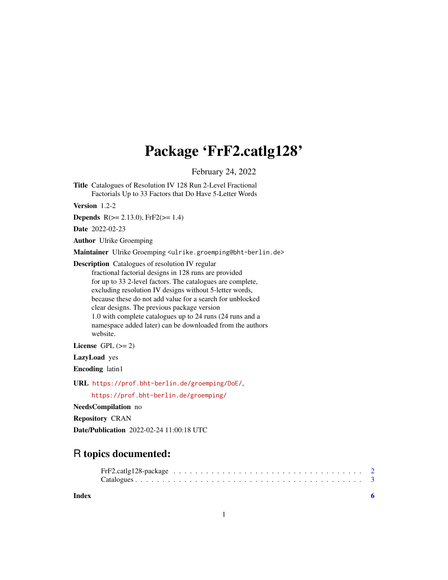## Package 'FrF2.catlg128'

February 24, 2022

<span id="page-0-0"></span>Title Catalogues of Resolution IV 128 Run 2-Level Fractional Factorials Up to 33 Factors that Do Have 5-Letter Words

Version 1.2-2

**Depends** R( $>= 2.13.0$ ), FrF2( $>= 1.4$ )

Date 2022-02-23

Author Ulrike Groemping

Maintainer Ulrike Groemping <ulrike.groemping@bht-berlin.de>

Description Catalogues of resolution IV regular fractional factorial designs in 128 runs are provided for up to 33 2-level factors. The catalogues are complete, excluding resolution IV designs without 5-letter words, because these do not add value for a search for unblocked clear designs. The previous package version 1.0 with complete catalogues up to 24 runs (24 runs and a namespace added later) can be downloaded from the authors website.

License GPL  $(>= 2)$ 

LazyLoad yes

Encoding latin1

URL <https://prof.bht-berlin.de/groemping/DoE/>,

<https://prof.bht-berlin.de/groemping/>

NeedsCompilation no

Repository CRAN

Date/Publication 2022-02-24 11:00:18 UTC

### R topics documented:

#### **Index** [6](#page-5-0) **6**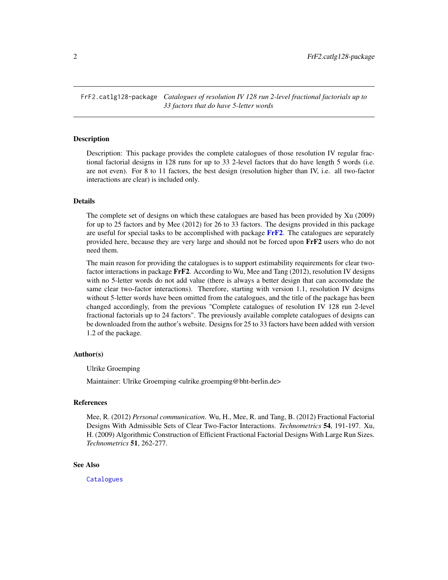<span id="page-1-0"></span>FrF2.catlg128-package *Catalogues of resolution IV 128 run 2-level fractional factorials up to 33 factors that do have 5-letter words*

#### **Description**

Description: This package provides the complete catalogues of those resolution IV regular fractional factorial designs in 128 runs for up to 33 2-level factors that do have length 5 words (i.e. are not even). For 8 to 11 factors, the best design (resolution higher than IV, i.e. all two-factor interactions are clear) is included only.

#### Details

The complete set of designs on which these catalogues are based has been provided by Xu (2009) for up to 25 factors and by Mee (2012) for 26 to 33 factors. The designs provided in this package are useful for special tasks to be accomplished with package  $\mathbf{FrF2}$  $\mathbf{FrF2}$  $\mathbf{FrF2}$ . The catalogues are separately provided here, because they are very large and should not be forced upon FrF2 users who do not need them.

The main reason for providing the catalogues is to support estimability requirements for clear twofactor interactions in package  $\text{FrF2}$ . According to Wu, Mee and Tang (2012), resolution IV designs with no 5-letter words do not add value (there is always a better design that can accomodate the same clear two-factor interactions). Therefore, starting with version 1.1, resolution IV designs without 5-letter words have been omitted from the catalogues, and the title of the package has been changed accordingly, from the previous "Complete catalogues of resolution IV 128 run 2-level fractional factorials up to 24 factors". The previously available complete catalogues of designs can be downloaded from the author's website. Designs for 25 to 33 factors have been added with version 1.2 of the package.

#### Author(s)

Ulrike Groemping

Maintainer: Ulrike Groemping <ulrike.groemping@bht-berlin.de>

#### References

Mee, R. (2012) *Personal communication*. Wu, H., Mee, R. and Tang, B. (2012) Fractional Factorial Designs With Admissible Sets of Clear Two-Factor Interactions. *Technometrics* 54, 191-197. Xu, H. (2009) Algorithmic Construction of Efficient Fractional Factorial Designs With Large Run Sizes. *Technometrics* 51, 262-277.

#### See Also

**[Catalogues](#page-2-1)**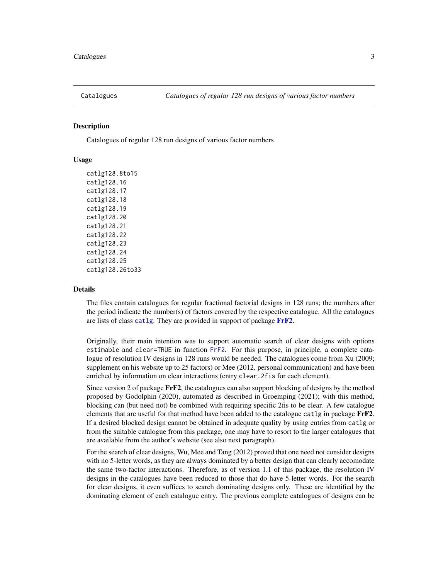<span id="page-2-1"></span><span id="page-2-0"></span>

#### **Description**

Catalogues of regular 128 run designs of various factor numbers

#### Usage

catlg128.8to15 catlg128.16 catlg128.17 catlg128.18 catlg128.19 catlg128.20 catlg128.21 catlg128.22 catlg128.23 catlg128.24 catlg128.25 catlg128.26to33

#### Details

The files contain catalogues for regular fractional factorial designs in 128 runs; the numbers after the period indicate the number(s) of factors covered by the respective catalogue. All the catalogues are lists of class [catlg](#page-0-0). They are provided in support of package [FrF2](#page-0-0).

Originally, their main intention was to support automatic search of clear designs with options estimable and clear=TRUE in function [FrF2](#page-0-0). For this purpose, in principle, a complete catalogue of resolution IV designs in 128 runs would be needed. The catalogues come from Xu (2009; supplement on his website up to 25 factors) or Mee (2012, personal communication) and have been enriched by information on clear interactions (entry clear.2fis for each element).

Since version 2 of package  $\text{F} \text{F} \text{F}$ , the catalogues can also support blocking of designs by the method proposed by Godolphin (2020), automated as described in Groemping (2021); with this method, blocking can (but need not) be combined with requiring specific 2fis to be clear. A few catalogue elements that are useful for that method have been added to the catalogue catlg in package FrF2. If a desired blocked design cannot be obtained in adequate quality by using entries from catlg or from the suitable catalogue from this package, one may have to resort to the larger catalogues that are available from the author's website (see also next paragraph).

For the search of clear designs, Wu, Mee and Tang (2012) proved that one need not consider designs with no 5-letter words, as they are always dominated by a better design that can clearly accomodate the same two-factor interactions. Therefore, as of version 1.1 of this package, the resolution IV designs in the catalogues have been reduced to those that do have 5-letter words. For the search for clear designs, it even suffices to search dominating designs only. These are identified by the dominating element of each catalogue entry. The previous complete catalogues of designs can be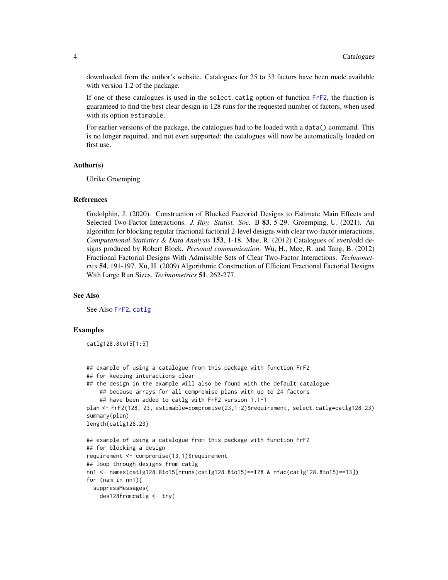<span id="page-3-0"></span>downloaded from the author's website. Catalogues for 25 to 33 factors have been made available with version 1.2 of the package.

If one of these catalogues is used in the select.catlg option of function [FrF2](#page-0-0), the function is guaranteed to find the best clear design in 128 runs for the requested number of factors, when used with its option estimable.

For earlier versions of the package, the catalogues had to be loaded with a data() command. This is no longer required, and not even supported; the catalogues will now be automatically loaded on first use.

#### Author(s)

Ulrike Groemping

#### References

Godolphin, J. (2020). Construction of Blocked Factorial Designs to Estimate Main Effects and Selected Two-Factor Interactions. *J. Roy. Statist. Soc.* B 83, 5-29. Groemping, U. (2021). An algorithm for blocking regular fractional factorial 2-level designs with clear two-factor interactions. *Computational Statistics & Data Analysis* 153, 1-18. Mee, R. (2012) Catalogues of even/odd designs produced by Robert Block. *Personal communication*. Wu, H., Mee, R. and Tang, B. (2012) Fractional Factorial Designs With Admissible Sets of Clear Two-Factor Interactions. *Technometrics* 54, 191-197. Xu, H. (2009) Algorithmic Construction of Efficient Fractional Factorial Designs With Large Run Sizes. *Technometrics* 51, 262-277.

#### See Also

See Also [FrF2](#page-0-0), [catlg](#page-0-0)

#### Examples

catlg128.8to15[1:5]

```
## example of using a catalogue from this package with function FrF2
## for keeping interactions clear
## the design in the example will also be found with the default catalogue
    ## because arrays for all compromise plans with up to 24 factors
    ## have been added to catlg with FrF2 version 1.1-1
plan <- FrF2(128, 23, estimable=compromise(23,1:2)$requirement, select.catlg=catlg128.23)
summary(plan)
length(catlg128.23)
## example of using a catalogue from this package with function FrF2
## for blocking a design
requirement <- compromise(13,1)$requirement
## loop through designs from catlg
nn1 <- names(catlg128.8to15[nruns(catlg128.8to15)==128 & nfac(catlg128.8to15)==13])
for (nam in nn1){
 suppressMessages(
   des128fromcatlg <- try(
```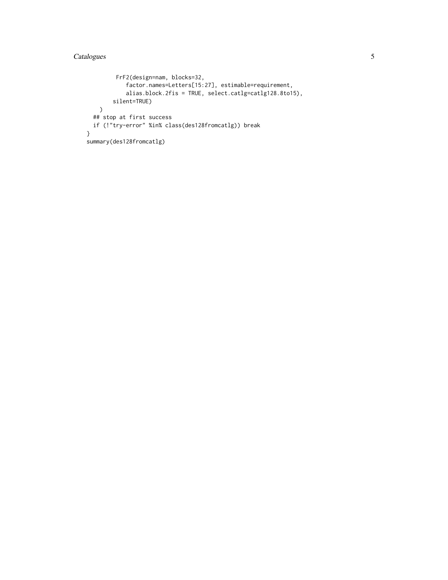#### Catalogues 5

```
FrF2(design=nam, blocks=32,
            factor.names=Letters[15:27], estimable=requirement,
            alias.block.2fis = TRUE, select.catlg=catlg128.8to15),
       silent=TRUE)
   \lambda## stop at first success
 if (!"try-error" %in% class(des128fromcatlg)) break
}
summary(des128fromcatlg)
```